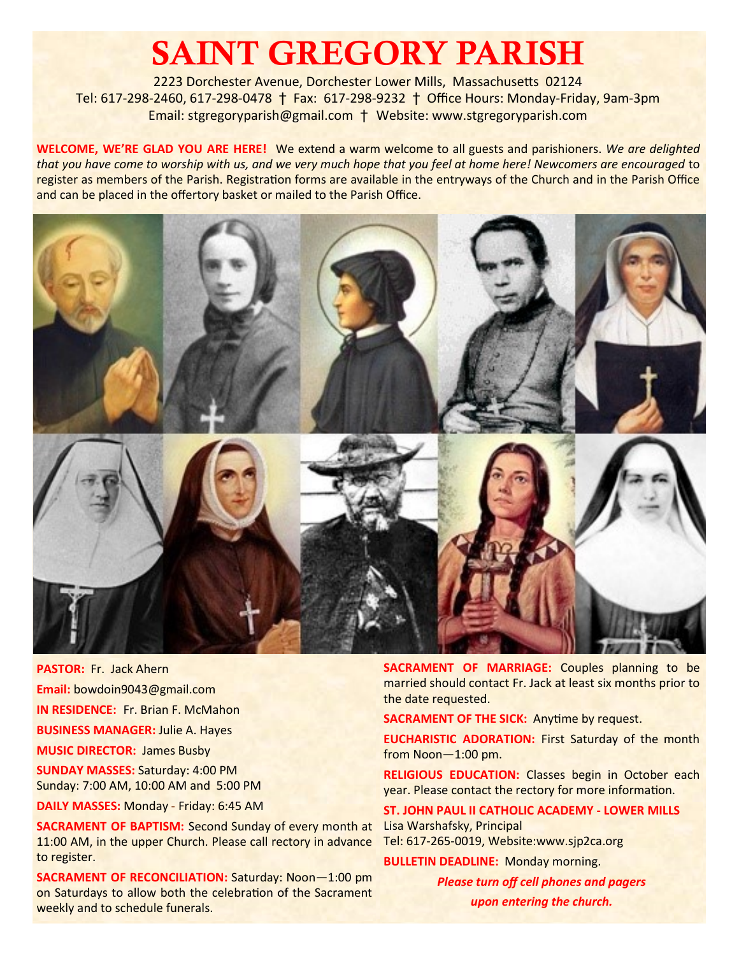# SAINT GREGORY PARISH

2223 Dorchester Avenue, Dorchester Lower Mills, Massachusetts 02124 Tel: 617-298-2460, 617-298-0478 † Fax: 617-298-9232 † Office Hours: Monday-Friday, 9am-3pm Email: stgregoryparish@gmail.com † Website: www.stgregoryparish.com

**WELCOME, WE'RE GLAD YOU ARE HERE!** We extend a warm welcome to all guests and parishioners. *We are delighted that you have come to worship with us, and we very much hope that you feel at home here! Newcomers are encouraged* to register as members of the Parish. Registration forms are available in the entryways of the Church and in the Parish Office and can be placed in the offertory basket or mailed to the Parish Office.



**PASTOR:** Fr. Jack Ahern **Email:** bowdoin9043@gmail.com **IN RESIDENCE:** Fr. Brian F. McMahon **BUSINESS MANAGER:** Julie A. Hayes **MUSIC DIRECTOR:** James Busby **SUNDAY MASSES:** Saturday: 4:00 PM

Sunday: 7:00 AM, 10:00 AM and 5:00 PM

**DAILY MASSES:** Monday - Friday: 6:45 AM

**SACRAMENT OF BAPTISM:** Second Sunday of every month at 11:00 AM, in the upper Church. Please call rectory in advance to register.

**SACRAMENT OF RECONCILIATION:** Saturday: Noon—1:00 pm on Saturdays to allow both the celebration of the Sacrament weekly and to schedule funerals.

**SACRAMENT OF MARRIAGE:** Couples planning to be married should contact Fr. Jack at least six months prior to the date requested.

**SACRAMENT OF THE SICK:** Anytime by request.

**EUCHARISTIC ADORATION: First Saturday of the month** from Noon—1:00 pm.

**RELIGIOUS EDUCATION:** Classes begin in October each year. Please contact the rectory for more information.

**ST. JOHN PAUL II CATHOLIC ACADEMY - LOWER MILLS** Lisa Warshafsky, Principal Tel: 617-265-0019, Website:www.sjp2ca.org

**BULLETIN DEADLINE:** Monday morning.

*Please turn off cell phones and pagers upon entering the church.*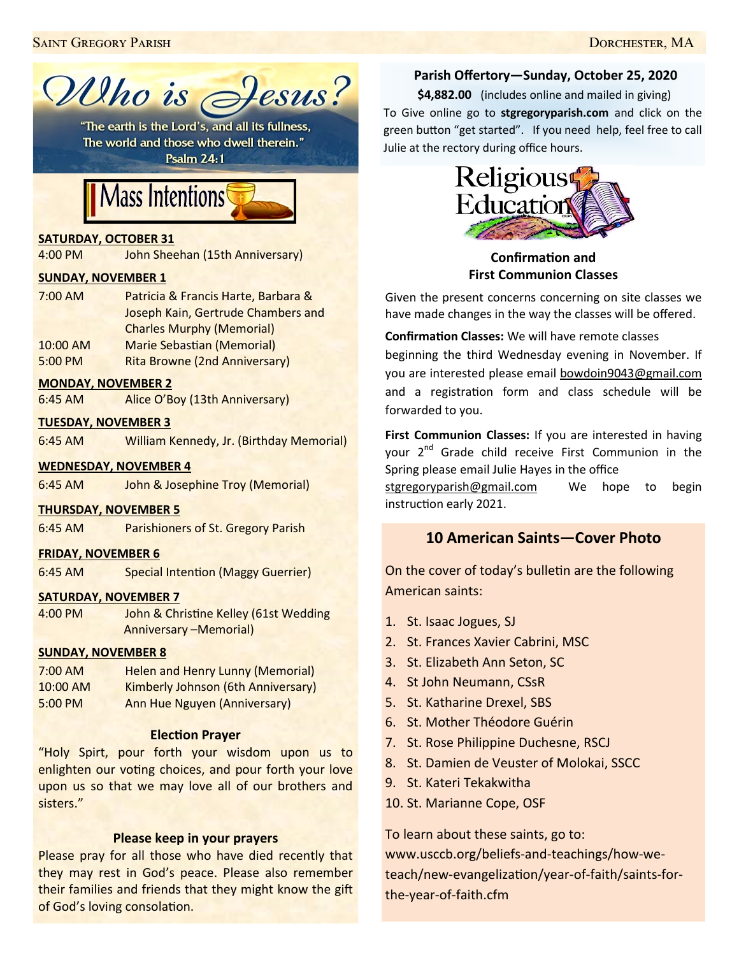

The world and those who dwell therein." **Psalm 24:1** 

# Mass Intentions

#### **SATURDAY, OCTOBER 31**

4:00 PM John Sheehan (15th Anniversary)

#### **SUNDAY, NOVEMBER 1**

| $7:00$ AM | Patricia & Francis Harte, Barbara &  |
|-----------|--------------------------------------|
|           | Joseph Kain, Gertrude Chambers and   |
|           | <b>Charles Murphy (Memorial)</b>     |
| 10:00 AM  | <b>Marie Sebastian (Memorial)</b>    |
| 5:00 PM   | <b>Rita Browne (2nd Anniversary)</b> |

#### **MONDAY, NOVEMBER 2**

6:45 AM Alice O'Boy (13th Anniversary)

#### **TUESDAY, NOVEMBER 3**

6:45 AM William Kennedy, Jr. (Birthday Memorial)

#### **WEDNESDAY, NOVEMBER 4**

6:45 AM John & Josephine Troy (Memorial)

#### **THURSDAY, NOVEMBER 5**

6:45 AM Parishioners of St. Gregory Parish

#### **FRIDAY, NOVEMBER 6**

6:45 AM Special Intention (Maggy Guerrier)

#### **SATURDAY, NOVEMBER 7**

4:00 PM John & Christine Kelley (61st Wedding Anniversary –Memorial)

#### **SUNDAY, NOVEMBER 8**

| $7:00$ AM | <b>Helen and Henry Lunny (Memorial)</b> |
|-----------|-----------------------------------------|
| 10:00 AM  | Kimberly Johnson (6th Anniversary)      |
| 5:00 PM   | <b>Ann Hue Nguyen (Anniversary)</b>     |

#### **Election Prayer**

"Holy Spirt, pour forth your wisdom upon us to enlighten our voting choices, and pour forth your love upon us so that we may love all of our brothers and sisters."

#### **Please keep in your prayers**

Please pray for all those who have died recently that they may rest in God's peace. Please also remember their families and friends that they might know the gift of God's loving consolation.

# **Parish Offertory—Sunday, October 25, 2020**

**\$4,882.00** (includes online and mailed in giving) To Give online go to **stgregoryparish.com** and click on the green button "get started". If you need help, feel free to call Julie at the rectory during office hours.



**Confirmation and First Communion Classes**

Given the present concerns concerning on site classes we have made changes in the way the classes will be offered.

**Confirmation Classes:** We will have remote classes beginning the third Wednesday evening in November. If you are interested please email [bowdoin9043@gmail.com](mailto:bowdoin9043@gmail.com) and a registration form and class schedule will be forwarded to you.

**First Communion Classes:** If you are interested in having your 2<sup>nd</sup> Grade child receive First Communion in the Spring please email Julie Hayes in the office

[stgregoryparish@gmail.com](mailto:stgregoryparish@gmail.com) We hope to begin instruction early 2021.

# **10 American Saints—Cover Photo**

On the cover of today's bulletin are the following American saints:

- 1. St. Isaac Jogues, SJ
- 2. St. Frances Xavier Cabrini, MSC
- 3. St. Elizabeth Ann Seton, SC
- 4. St John Neumann, CSsR
- 5. St. Katharine Drexel, SBS
- 6. St. Mother Théodore Guérin
- 7. St. Rose Philippine Duchesne, RSCJ
- 8. St. Damien de Veuster of Molokai, SSCC
- 9. St. Kateri Tekakwitha
- 10. St. Marianne Cope, OSF

To learn about these saints, go to: www.usccb.org/beliefs-and-teachings/how-weteach/new-evangelization/year-of-faith/saints-forthe-year-of-faith.cfm